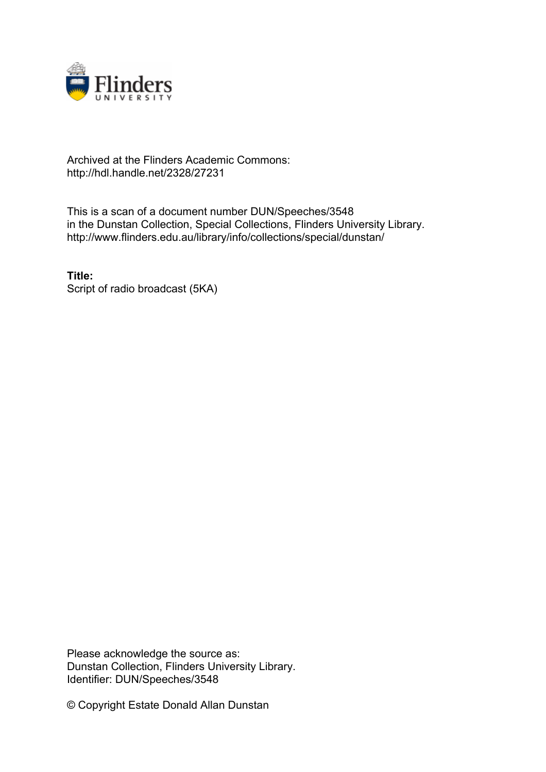

## Archived at the Flinders Academic Commons: http://hdl.handle.net/2328/27231

This is a scan of a document number DUN/Speeches/3548 in the Dunstan Collection, Special Collections, Flinders University Library. http://www.flinders.edu.au/library/info/collections/special/dunstan/

**Title:** Script of radio broadcast (5KA)

Please acknowledge the source as: Dunstan Collection, Flinders University Library. Identifier: DUN/Speeches/3548

© Copyright Estate Donald Allan Dunstan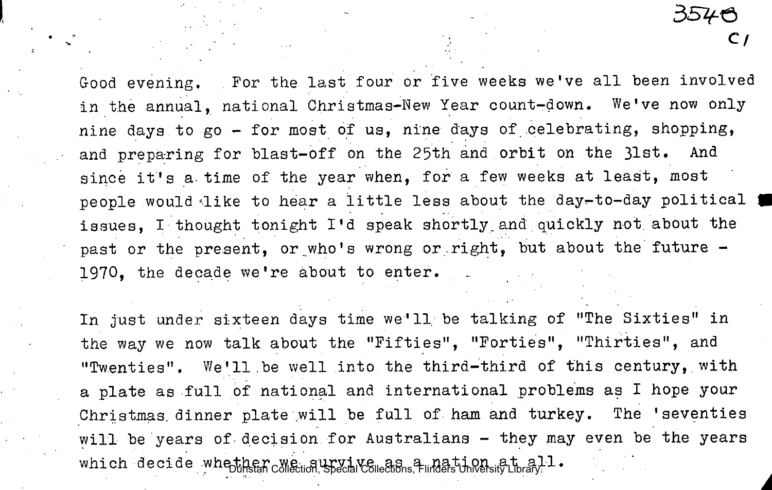Good evening. For the last four or five weeks we've all been involved in the annual, national Christmas-New Year count-down. We've now only nine days to go - for most of us, nine days of celebrating, shopping, and preparing for blast-off on the 25th and orbit on the 31st. And since it's a time of the year when, for a few weeks at least, most people would like to hear a little less about the day-to-day political issues, I thought tonight I'd speak shortly.and quickly not. about the past or the present, or who's wrong or right, but about the future -1970, the decade we're about to enter.

In just under sixteen days time we'll, be talking of "The Sixties" in the way we now talk about the "Fifties", "Forties", "Thirties", and "Twenties". We'll be well into the third-third of this century, with a plate as full of national and international problems as I hope your Christmas dinner plate will be full of ham and turkey. The 'seventies will be years of decision for Australians - they may even be the years which decide whether we survive as a nation at all.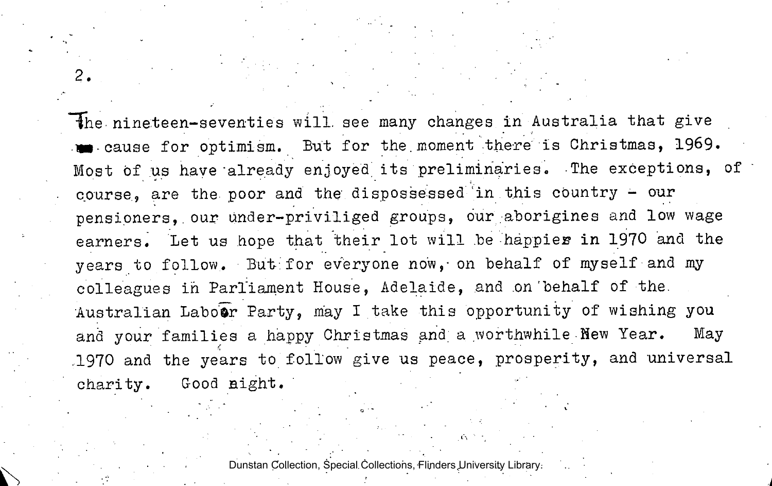the nineteen-seventies will see many changes in Australia that give cause for optimism. But for the.moment there is Christmas, 1969. Most of us have "already enjoyed its preliminaries. The exceptions, of course, are the poor and the dispossessed in this country - our pensioners, our under-priviliged groups, our aborigines and low wage earners. Let us hope that their lot will be happier in 1970 and the years to follow. But for everyone now, on behalf of myself and my colleagues in Parliament House, Adelaide, and .on'behalf of the. Australian Laboor Party, may I take this opportunity of wishing you and your families a happy Christmas and a worthwhile Hew Year. May .1970 and the years to follow give us peace, prosperity, and universal charity. Good night.

 $2.$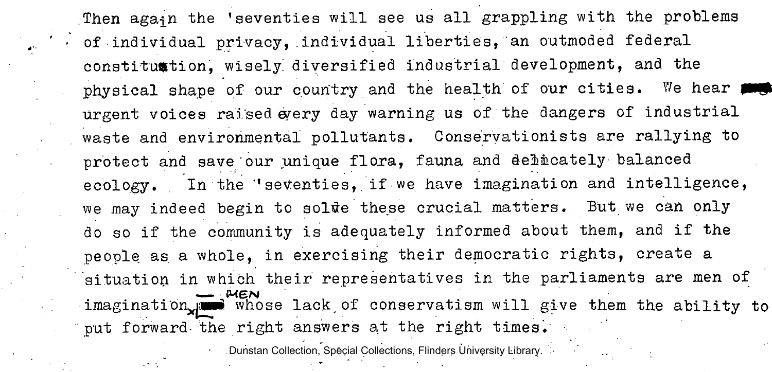Then again the 'seventies will see us all grappling with the problems  $\cdot$  of individual privacy, individual liberties, an outmoded federal constituntion, wisely diversified industrial development, and the physical shape of our country and the health of our cities. We hear a urgent voices raised every day warning us of. the dangers of industrial waste and environmental pollutants. Conservationists are rallying to protect and save our unique flora, fauna and delicately balanced ecology. In the 'seventies, if we have imagination and intelligence, we may indeed begin to solue these crucial matters. But we can only do so if the community is adequately informed about them, and if the people as a whole, in exercising their democratic rights, create a situation in which their representatives in the parliaments are men of *MEN*<br>imagination whose lack of conservatism will give them the ability to  $\frac{1}{2}$  imagination  $\frac{1}{2}$  whose lacks, of conservation will give them the ability to put forward- the right answers at the right times.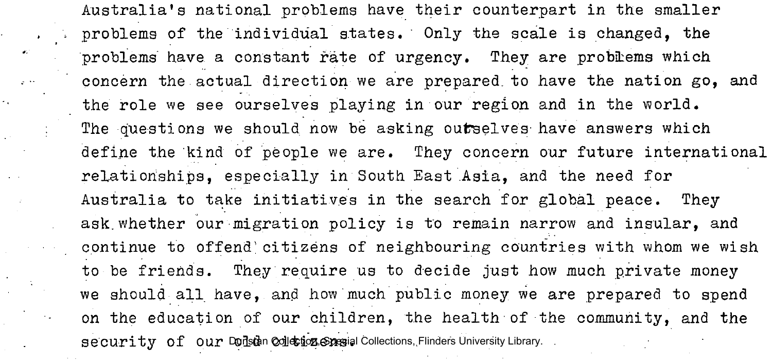Australia's national problems have their counterpart in the smaller problems of the individual states. Only the scale is changed, the problems have a constant rate of urgency. They are problems which concern the actual direction we are prepared, to have the nation go, and the role we see ourselves playing in our region and in the world. The questions we should now be asking outselves have answers which define the kind of people we are. They concern our future international relationships, especially in South East Asia, and the need for Australia to take initiatives in the search for global peace. They ask.whether our migration policy is to remain narrow and insular, and continue to offend'citizens of neighbouring countries with whom we wish to be friends. They require us to decide just how much private money we should all have, and how much public money we are prepared to spend on the education of our children, the health of the community, and the security of our Donstan Collection, Special Collections, Flinders University Library.

 $\mathcal{M}^{\mathcal{C}}$ 

محالي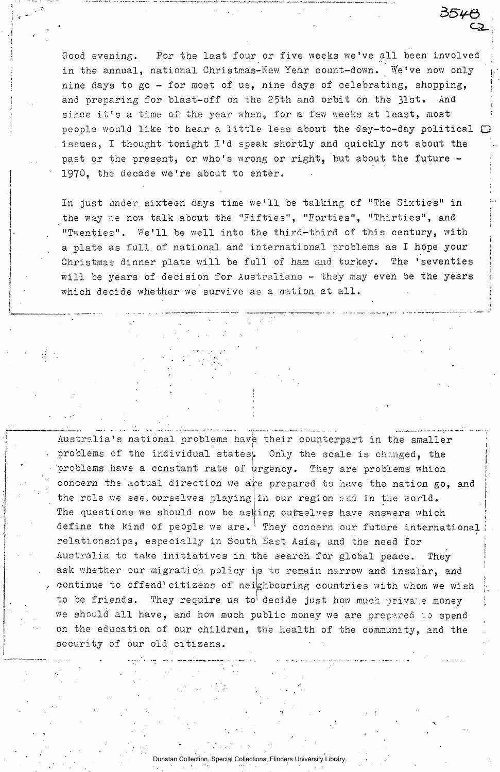Good evening. For the last four or five weeks we've all been involved in the annual, national Christmas-New Year count-down. We've now only nine days to go - for most of us, nine days of celebrating, shopping, and preparing for blast-off on the 25th and orbit on the 31st. And since it's a time of the year when, for a few weeks at least, most people would like to hear a little less about the day-to-day political  $\mathbb{C}$ issues, I thought tonight I'd speak shortly and quickly not about the ' past or the present, or who's wrong or right, but about the future -1970, the decade we're about to enter.

 $\mathsf{C2}_+$ 

3546

 $\frac{1}{1}$ 

i

į, *<sup>i</sup>*1

In just under, sixteen days time we'll, be talking of "The Sixties" in the way we now talk about the "Fifties", "Forties", "Thirties", and "Twenties". We'll be well into the third-third of this century, with a plate as full of national and international problems as I hope your<br>Christmas dinner plate will be full of ham and turkey. The 'seventies will be years of decision for Australians - they may even be the years which decide whether we survive as a nation at all. which decide whether we survive as a nation  $\mathcal{L}$ 

Australia's national problems have their counterpart in the smaller problems of the individual states. Only the scale is changed, the problems have a constant rate of urgency. They are problems which concern the actual direction we are prepared to have the nation go, and the role we see ourselves playing in our region and in the world. The questions we should now be asking outselves have answers which define the kind of people we are.  $^1$  They concern our future international  $t_{\rm{th}}$ relationships, especially in South East Asia, and the need for ' Australia to take initiatives in the search for global peace. They ask whether our migration policy is to remain narrow and insular, and continue to offend'citizens of neighbouring countries with whom we wish to be friends. They require us to decide just how much private money we should all have, and how much public money we are prepared to spend on the education of our children, the health of the community, and the security of our old citizens.